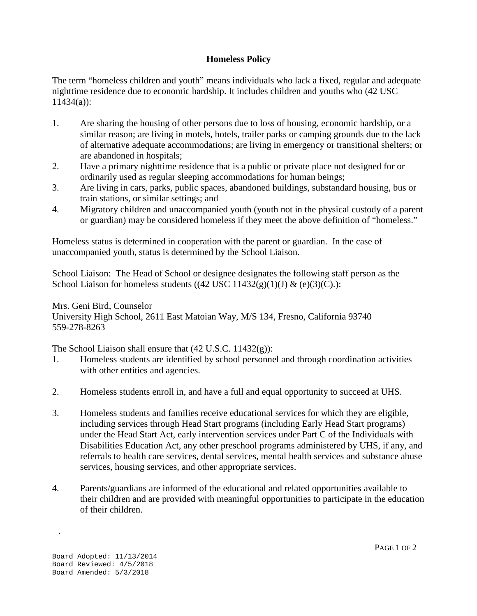## **Homeless Policy**

The term "homeless children and youth" means individuals who lack a fixed, regular and adequate nighttime residence due to economic hardship. It includes children and youths who (42 USC 11434(a)):

- 1. Are sharing the housing of other persons due to loss of housing, economic hardship, or a similar reason; are living in motels, hotels, trailer parks or camping grounds due to the lack of alternative adequate accommodations; are living in emergency or transitional shelters; or are abandoned in hospitals;
- 2. Have a primary nighttime residence that is a public or private place not designed for or ordinarily used as regular sleeping accommodations for human beings;
- 3. Are living in cars, parks, public spaces, abandoned buildings, substandard housing, bus or train stations, or similar settings; and
- 4. Migratory children and unaccompanied youth (youth not in the physical custody of a parent or guardian) may be considered homeless if they meet the above definition of "homeless."

Homeless status is determined in cooperation with the parent or guardian. In the case of unaccompanied youth, status is determined by the School Liaison.

School Liaison: The Head of School or designee designates the following staff person as the School Liaison for homeless students  $((42 \text{ USC } 11432(g)(1)(J) \& (e)(3)(C))$ :

## Mrs. Geni Bird, Counselor

University High School, 2611 East Matoian Way, M/S 134, Fresno, California 93740 559-278-8263

The School Liaison shall ensure that (42 U.S.C. 11432(g)):

- 1. Homeless students are identified by school personnel and through coordination activities with other entities and agencies.
- 2. Homeless students enroll in, and have a full and equal opportunity to succeed at UHS.
- 3. Homeless students and families receive educational services for which they are eligible, including services through Head Start programs (including Early Head Start programs) under the Head Start Act, early intervention services under Part C of the Individuals with Disabilities Education Act, any other preschool programs administered by UHS, if any, and referrals to health care services, dental services, mental health services and substance abuse services, housing services, and other appropriate services.
- 4. Parents/guardians are informed of the educational and related opportunities available to their children and are provided with meaningful opportunities to participate in the education of their children.

 $\mathcal{L}$